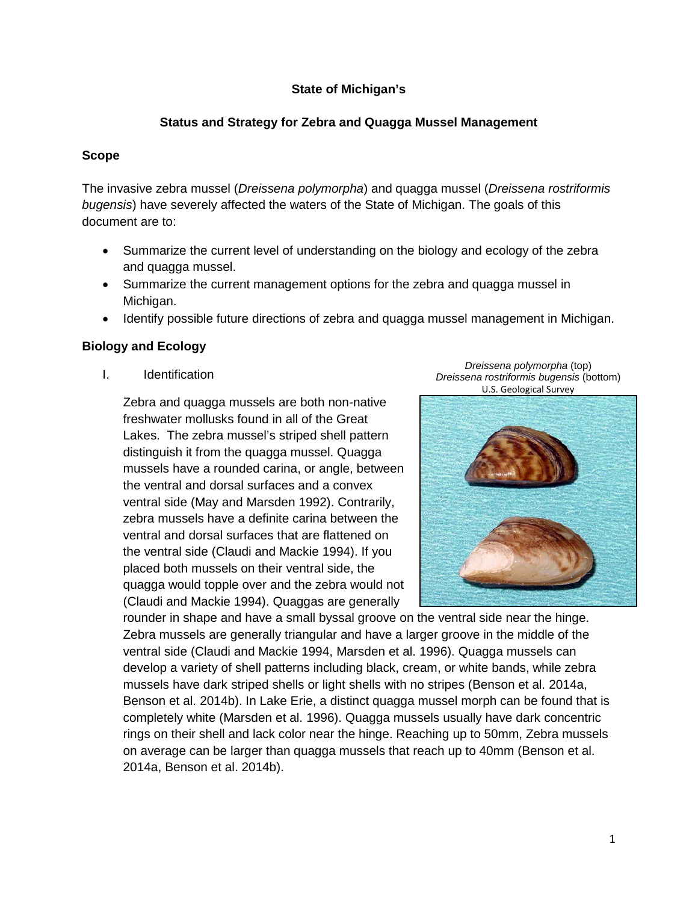# **State of Michigan's**

# **Status and Strategy for Zebra and Quagga Mussel Management**

## **Scope**

The invasive zebra mussel (*Dreissena polymorpha*) and quagga mussel (*Dreissena rostriformis bugensis*) have severely affected the waters of the State of Michigan. The goals of this document are to:

- Summarize the current level of understanding on the biology and ecology of the zebra and quagga mussel.
- Summarize the current management options for the zebra and quagga mussel in Michigan.
- Identify possible future directions of zebra and quagga mussel management in Michigan.

## **Biology and Ecology**

I. Identification

Zebra and quagga mussels are both non-native freshwater mollusks found in all of the Great Lakes. The zebra mussel's striped shell pattern distinguish it from the quagga mussel. Quagga mussels have a rounded carina, or angle, between the ventral and dorsal surfaces and a convex ventral side (May and Marsden 1992). Contrarily, zebra mussels have a definite carina between the ventral and dorsal surfaces that are flattened on the ventral side (Claudi and Mackie 1994). If you placed both mussels on their ventral side, the quagga would topple over and the zebra would not (Claudi and Mackie 1994). Quaggas are generally





rounder in shape and have a small byssal groove on the ventral side near the hinge. Zebra mussels are generally triangular and have a larger groove in the middle of the ventral side (Claudi and Mackie 1994, Marsden et al. 1996). Quagga mussels can develop a variety of shell patterns including black, cream, or white bands, while zebra mussels have dark striped shells or light shells with no stripes (Benson et al. 2014a, Benson et al. 2014b). In Lake Erie, a distinct quagga mussel morph can be found that is completely white (Marsden et al. 1996). Quagga mussels usually have dark concentric rings on their shell and lack color near the hinge. Reaching up to 50mm, Zebra mussels on average can be larger than quagga mussels that reach up to 40mm (Benson et al. 2014a, Benson et al. 2014b).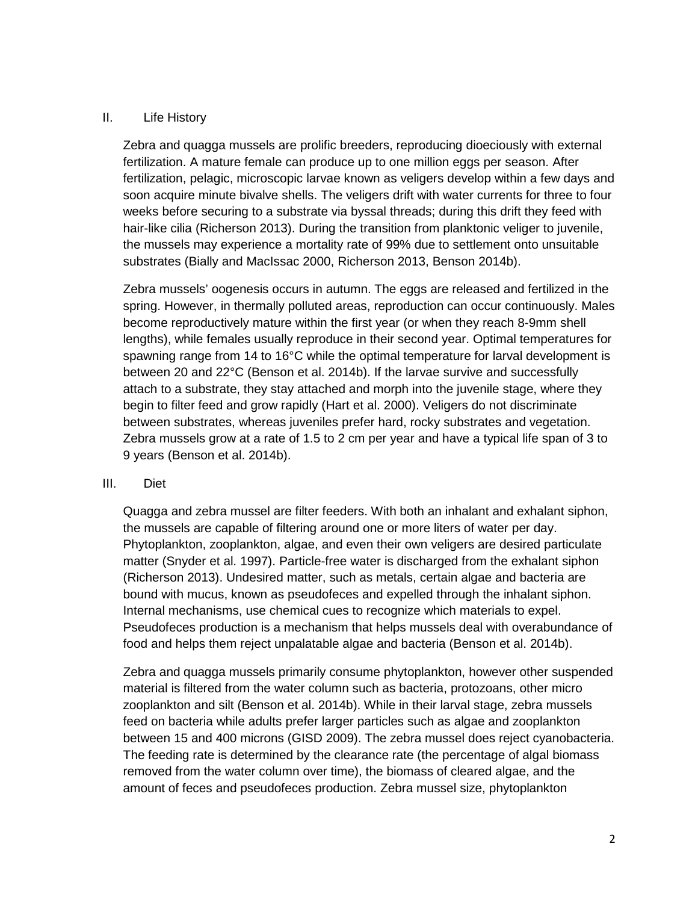## II. Life History

Zebra and quagga mussels are prolific breeders, reproducing dioeciously with external fertilization. A mature female can produce up to one million eggs per season. After fertilization, pelagic, microscopic larvae known as veligers develop within a few days and soon acquire minute bivalve shells. The veligers drift with water currents for three to four weeks before securing to a substrate via byssal threads; during this drift they feed with hair-like cilia (Richerson 2013). During the transition from planktonic veliger to juvenile, the mussels may experience a mortality rate of 99% due to settlement onto unsuitable substrates (Bially and MacIssac 2000, Richerson 2013, Benson 2014b).

Zebra mussels' oogenesis occurs in autumn. The eggs are released and fertilized in the spring. However, in thermally polluted areas, reproduction can occur continuously. Males become reproductively mature within the first year (or when they reach 8-9mm shell lengths), while females usually reproduce in their second year. Optimal temperatures for spawning range from 14 to 16 $\degree$ C while the optimal temperature for larval development is between 20 and 22°C (Benson et al. 2014b). If the larvae survive and successfully attach to a substrate, they stay attached and morph into the juvenile stage, where they begin to filter feed and grow rapidly (Hart et al. 2000). Veligers do not discriminate between substrates, whereas juveniles prefer hard, rocky substrates and vegetation. Zebra mussels grow at a rate of 1.5 to 2 cm per year and have a typical life span of 3 to 9 years (Benson et al. 2014b).

#### III. Diet

Quagga and zebra mussel are filter feeders. With both an inhalant and exhalant siphon, the mussels are capable of filtering around one or more liters of water per day. Phytoplankton, zooplankton, algae, and even their own veligers are desired particulate matter (Snyder et al. 1997). Particle-free water is discharged from the exhalant siphon (Richerson 2013). Undesired matter, such as metals, certain algae and bacteria are bound with mucus, known as pseudofeces and expelled through the inhalant siphon. Internal mechanisms, use chemical cues to recognize which materials to expel. Pseudofeces production is a mechanism that helps mussels deal with overabundance of food and helps them reject unpalatable algae and bacteria (Benson et al. 2014b).

Zebra and quagga mussels primarily consume phytoplankton, however other suspended material is filtered from the water column such as bacteria, protozoans, other micro zooplankton and silt (Benson et al. 2014b). While in their larval stage, zebra mussels feed on bacteria while adults prefer larger particles such as algae and zooplankton between 15 and 400 microns (GISD 2009). The zebra mussel does reject cyanobacteria. The feeding rate is determined by the clearance rate (the percentage of algal biomass removed from the water column over time), the biomass of cleared algae, and the amount of feces and pseudofeces production. Zebra mussel size, phytoplankton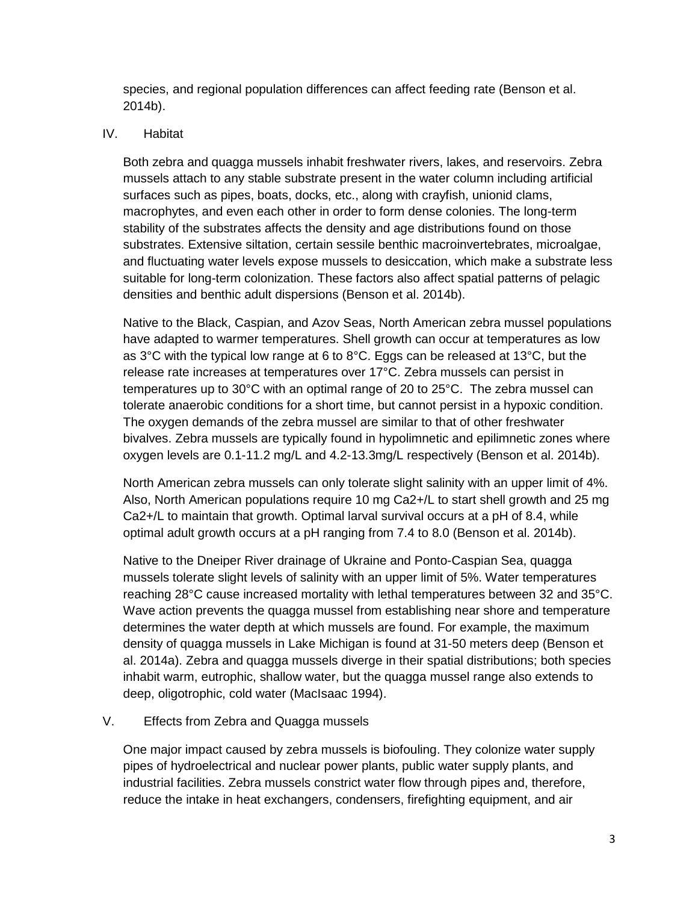species, and regional population differences can affect feeding rate (Benson et al. 2014b).

## IV. Habitat

Both zebra and quagga mussels inhabit freshwater rivers, lakes, and reservoirs. Zebra mussels attach to any stable substrate present in the water column including artificial surfaces such as pipes, boats, docks, etc., along with crayfish, unionid clams, macrophytes, and even each other in order to form dense colonies. The long-term stability of the substrates affects the density and age distributions found on those substrates. Extensive siltation, certain sessile benthic macroinvertebrates, microalgae, and fluctuating water levels expose mussels to desiccation, which make a substrate less suitable for long-term colonization. These factors also affect spatial patterns of pelagic densities and benthic adult dispersions (Benson et al. 2014b).

Native to the Black, Caspian, and Azov Seas, North American zebra mussel populations have adapted to warmer temperatures. Shell growth can occur at temperatures as low as 3<sup>°</sup>C with the typical low range at 6 to 8<sup>°</sup>C. Eggs can be released at 13<sup>°</sup>C, but the release rate increases at temperatures over 17°C. Zebra mussels can persist in temperatures up to 30°C with an optimal range of 20 to 25°C. The zebra mussel can tolerate anaerobic conditions for a short time, but cannot persist in a hypoxic condition. The oxygen demands of the zebra mussel are similar to that of other freshwater bivalves. Zebra mussels are typically found in hypolimnetic and epilimnetic zones where oxygen levels are 0.1-11.2 mg/L and 4.2-13.3mg/L respectively (Benson et al. 2014b).

North American zebra mussels can only tolerate slight salinity with an upper limit of 4%. Also, North American populations require 10 mg Ca2+/L to start shell growth and 25 mg Ca2+/L to maintain that growth. Optimal larval survival occurs at a pH of 8.4, while optimal adult growth occurs at a pH ranging from 7.4 to 8.0 (Benson et al. 2014b).

Native to the Dneiper River drainage of Ukraine and Ponto-Caspian Sea, quagga mussels tolerate slight levels of salinity with an upper limit of 5%. Water temperatures reaching 28°C cause increased mortality with lethal temperatures between 32 and 35°C. Wave action prevents the quagga mussel from establishing near shore and temperature determines the water depth at which mussels are found. For example, the maximum density of quagga mussels in Lake Michigan is found at 31-50 meters deep (Benson et al. 2014a). Zebra and quagga mussels diverge in their spatial distributions; both species inhabit warm, eutrophic, shallow water, but the quagga mussel range also extends to deep, oligotrophic, cold water (MacIsaac 1994).

## V. Effects from Zebra and Quagga mussels

One major impact caused by zebra mussels is biofouling. They colonize water supply pipes of hydroelectrical and nuclear power plants, public water supply plants, and industrial facilities. Zebra mussels constrict water flow through pipes and, therefore, reduce the intake in heat exchangers, condensers, firefighting equipment, and air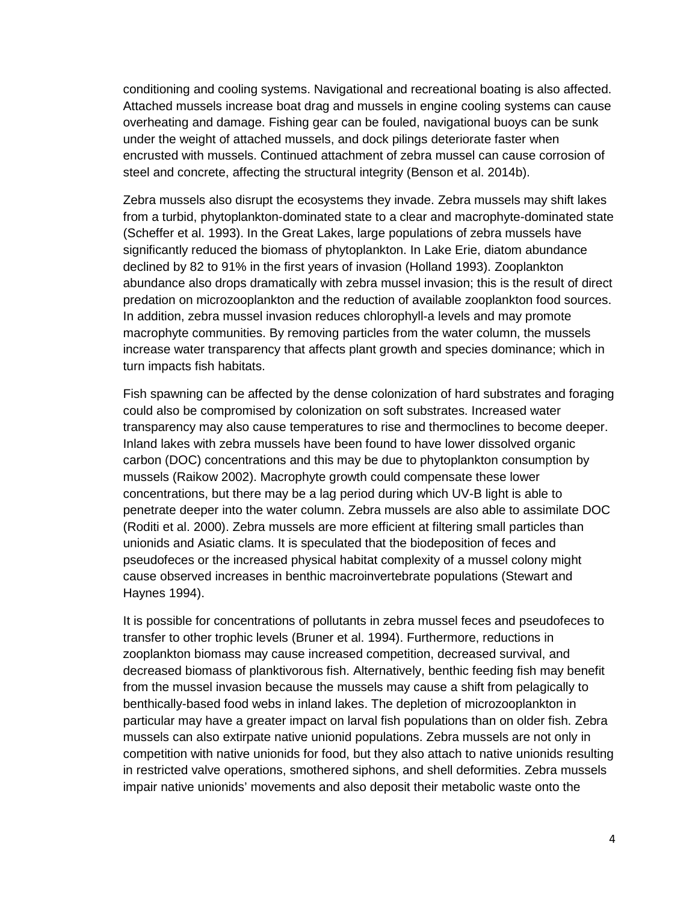conditioning and cooling systems. Navigational and recreational boating is also affected. Attached mussels increase boat drag and mussels in engine cooling systems can cause overheating and damage. Fishing gear can be fouled, navigational buoys can be sunk under the weight of attached mussels, and dock pilings deteriorate faster when encrusted with mussels. Continued attachment of zebra mussel can cause corrosion of steel and concrete, affecting the structural integrity (Benson et al. 2014b).

Zebra mussels also disrupt the ecosystems they invade. Zebra mussels may shift lakes from a turbid, phytoplankton-dominated state to a clear and macrophyte-dominated state (Scheffer et al. 1993). In the Great Lakes, large populations of zebra mussels have significantly reduced the biomass of phytoplankton. In Lake Erie, diatom abundance declined by 82 to 91% in the first years of invasion (Holland 1993). Zooplankton abundance also drops dramatically with zebra mussel invasion; this is the result of direct predation on microzooplankton and the reduction of available zooplankton food sources. In addition, zebra mussel invasion reduces chlorophyll-a levels and may promote macrophyte communities. By removing particles from the water column, the mussels increase water transparency that affects plant growth and species dominance; which in turn impacts fish habitats.

Fish spawning can be affected by the dense colonization of hard substrates and foraging could also be compromised by colonization on soft substrates. Increased water transparency may also cause temperatures to rise and thermoclines to become deeper. Inland lakes with zebra mussels have been found to have lower dissolved organic carbon (DOC) concentrations and this may be due to phytoplankton consumption by mussels (Raikow 2002). Macrophyte growth could compensate these lower concentrations, but there may be a lag period during which UV-B light is able to penetrate deeper into the water column. Zebra mussels are also able to assimilate DOC (Roditi et al. 2000). Zebra mussels are more efficient at filtering small particles than unionids and Asiatic clams. It is speculated that the biodeposition of feces and pseudofeces or the increased physical habitat complexity of a mussel colony might cause observed increases in benthic macroinvertebrate populations (Stewart and Haynes 1994).

It is possible for concentrations of pollutants in zebra mussel feces and pseudofeces to transfer to other trophic levels (Bruner et al. 1994). Furthermore, reductions in zooplankton biomass may cause increased competition, decreased survival, and decreased biomass of planktivorous fish. Alternatively, benthic feeding fish may benefit from the mussel invasion because the mussels may cause a shift from pelagically to benthically-based food webs in inland lakes. The depletion of microzooplankton in particular may have a greater impact on larval fish populations than on older fish. Zebra mussels can also extirpate native unionid populations. Zebra mussels are not only in competition with native unionids for food, but they also attach to native unionids resulting in restricted valve operations, smothered siphons, and shell deformities. Zebra mussels impair native unionids' movements and also deposit their metabolic waste onto the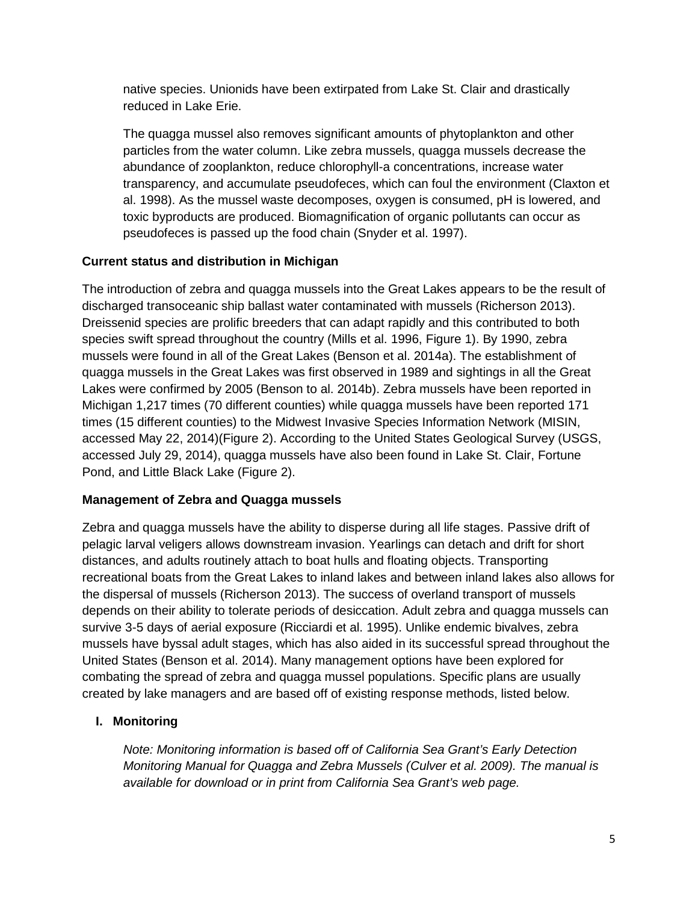native species. Unionids have been extirpated from Lake St. Clair and drastically reduced in Lake Erie.

The quagga mussel also removes significant amounts of phytoplankton and other particles from the water column. Like zebra mussels, quagga mussels decrease the abundance of zooplankton, reduce chlorophyll-a concentrations, increase water transparency, and accumulate pseudofeces, which can foul the environment (Claxton et al. 1998). As the mussel waste decomposes, oxygen is consumed, pH is lowered, and toxic byproducts are produced. Biomagnification of organic pollutants can occur as pseudofeces is passed up the food chain (Snyder et al. 1997).

# **Current status and distribution in Michigan**

The introduction of zebra and quagga mussels into the Great Lakes appears to be the result of discharged transoceanic ship ballast water contaminated with mussels (Richerson 2013). Dreissenid species are prolific breeders that can adapt rapidly and this contributed to both species swift spread throughout the country (Mills et al. 1996, Figure 1). By 1990, zebra mussels were found in all of the Great Lakes (Benson et al. 2014a). The establishment of quagga mussels in the Great Lakes was first observed in 1989 and sightings in all the Great Lakes were confirmed by 2005 (Benson to al. 2014b). Zebra mussels have been reported in Michigan 1,217 times (70 different counties) while quagga mussels have been reported 171 times (15 different counties) to the Midwest Invasive Species Information Network (MISIN, accessed May 22, 2014)(Figure 2). According to the United States Geological Survey (USGS, accessed July 29, 2014), quagga mussels have also been found in Lake St. Clair, Fortune Pond, and Little Black Lake (Figure 2).

# **Management of Zebra and Quagga mussels**

Zebra and quagga mussels have the ability to disperse during all life stages. Passive drift of pelagic larval veligers allows downstream invasion. Yearlings can detach and drift for short distances, and adults routinely attach to boat hulls and floating objects. Transporting recreational boats from the Great Lakes to inland lakes and between inland lakes also allows for the dispersal of mussels (Richerson 2013). The success of overland transport of mussels depends on their ability to tolerate periods of desiccation. Adult zebra and quagga mussels can survive 3-5 days of aerial exposure (Ricciardi et al. 1995). Unlike endemic bivalves, zebra mussels have byssal adult stages, which has also aided in its successful spread throughout the United States (Benson et al. 2014). Many management options have been explored for combating the spread of zebra and quagga mussel populations. Specific plans are usually created by lake managers and are based off of existing response methods, listed below.

# **I. Monitoring**

*Note: Monitoring information is based off of California Sea Grant's Early Detection Monitoring Manual for Quagga and Zebra Mussels (Culver et al. 2009). The manual is available for download or in print from California Sea Grant's web page.*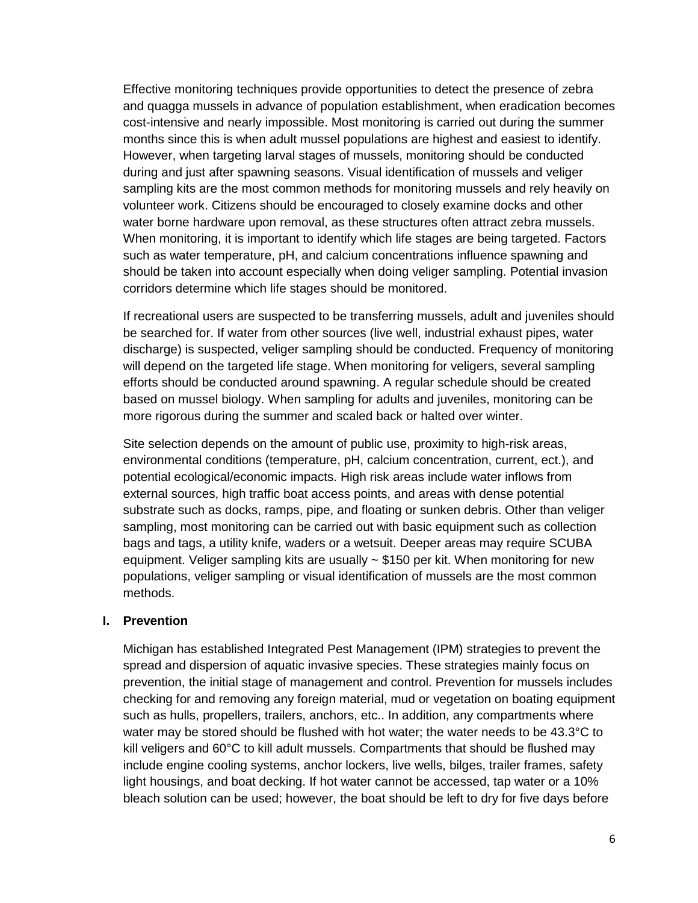Effective monitoring techniques provide opportunities to detect the presence of zebra and quagga mussels in advance of population establishment, when eradication becomes cost-intensive and nearly impossible. Most monitoring is carried out during the summer months since this is when adult mussel populations are highest and easiest to identify. However, when targeting larval stages of mussels, monitoring should be conducted during and just after spawning seasons. Visual identification of mussels and veliger sampling kits are the most common methods for monitoring mussels and rely heavily on volunteer work. Citizens should be encouraged to closely examine docks and other water borne hardware upon removal, as these structures often attract zebra mussels. When monitoring, it is important to identify which life stages are being targeted. Factors such as water temperature, pH, and calcium concentrations influence spawning and should be taken into account especially when doing veliger sampling. Potential invasion corridors determine which life stages should be monitored.

If recreational users are suspected to be transferring mussels, adult and juveniles should be searched for. If water from other sources (live well, industrial exhaust pipes, water discharge) is suspected, veliger sampling should be conducted. Frequency of monitoring will depend on the targeted life stage. When monitoring for veligers, several sampling efforts should be conducted around spawning. A regular schedule should be created based on mussel biology. When sampling for adults and juveniles, monitoring can be more rigorous during the summer and scaled back or halted over winter.

Site selection depends on the amount of public use, proximity to high-risk areas, environmental conditions (temperature, pH, calcium concentration, current, ect.), and potential ecological/economic impacts. High risk areas include water inflows from external sources, high traffic boat access points, and areas with dense potential substrate such as docks, ramps, pipe, and floating or sunken debris. Other than veliger sampling, most monitoring can be carried out with basic equipment such as collection bags and tags, a utility knife, waders or a wetsuit. Deeper areas may require SCUBA equipment. Veliger sampling kits are usually  $\sim$  \$150 per kit. When monitoring for new populations, veliger sampling or visual identification of mussels are the most common methods.

## **I. Prevention**

Michigan has established Integrated Pest Management (IPM) strategies to prevent the spread and dispersion of aquatic invasive species. These strategies mainly focus on prevention, the initial stage of management and control. Prevention for mussels includes checking for and removing any foreign material, mud or vegetation on boating equipment such as hulls, propellers, trailers, anchors, etc.. In addition, any compartments where water may be stored should be flushed with hot water; the water needs to be  $43.3^{\circ}$ C to kill veligers and 60°C to kill adult mussels. Compartments that should be flushed may include engine cooling systems, anchor lockers, live wells, bilges, trailer frames, safety light housings, and boat decking. If hot water cannot be accessed, tap water or a 10% bleach solution can be used; however, the boat should be left to dry for five days before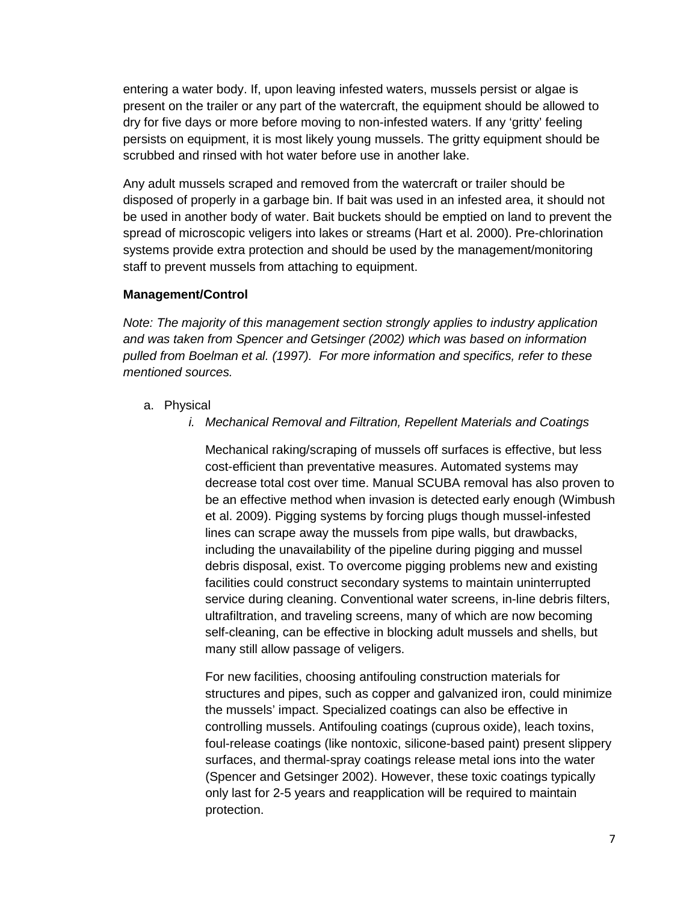entering a water body. If, upon leaving infested waters, mussels persist or algae is present on the trailer or any part of the watercraft, the equipment should be allowed to dry for five days or more before moving to non-infested waters. If any 'gritty' feeling persists on equipment, it is most likely young mussels. The gritty equipment should be scrubbed and rinsed with hot water before use in another lake.

Any adult mussels scraped and removed from the watercraft or trailer should be disposed of properly in a garbage bin. If bait was used in an infested area, it should not be used in another body of water. Bait buckets should be emptied on land to prevent the spread of microscopic veligers into lakes or streams (Hart et al. 2000). Pre-chlorination systems provide extra protection and should be used by the management/monitoring staff to prevent mussels from attaching to equipment.

## **Management/Control**

*Note: The majority of this management section strongly applies to industry application and was taken from Spencer and Getsinger (2002) which was based on information pulled from Boelman et al. (1997). For more information and specifics, refer to these mentioned sources.*

- a. Physical
	- *i. Mechanical Removal and Filtration, Repellent Materials and Coatings*

Mechanical raking/scraping of mussels off surfaces is effective, but less cost-efficient than preventative measures. Automated systems may decrease total cost over time. Manual SCUBA removal has also proven to be an effective method when invasion is detected early enough (Wimbush et al. 2009). Pigging systems by forcing plugs though mussel-infested lines can scrape away the mussels from pipe walls, but drawbacks, including the unavailability of the pipeline during pigging and mussel debris disposal, exist. To overcome pigging problems new and existing facilities could construct secondary systems to maintain uninterrupted service during cleaning. Conventional water screens, in-line debris filters, ultrafiltration, and traveling screens, many of which are now becoming self-cleaning, can be effective in blocking adult mussels and shells, but many still allow passage of veligers.

For new facilities, choosing antifouling construction materials for structures and pipes, such as copper and galvanized iron, could minimize the mussels' impact. Specialized coatings can also be effective in controlling mussels. Antifouling coatings (cuprous oxide), leach toxins, foul-release coatings (like nontoxic, silicone-based paint) present slippery surfaces, and thermal-spray coatings release metal ions into the water (Spencer and Getsinger 2002). However, these toxic coatings typically only last for 2-5 years and reapplication will be required to maintain protection.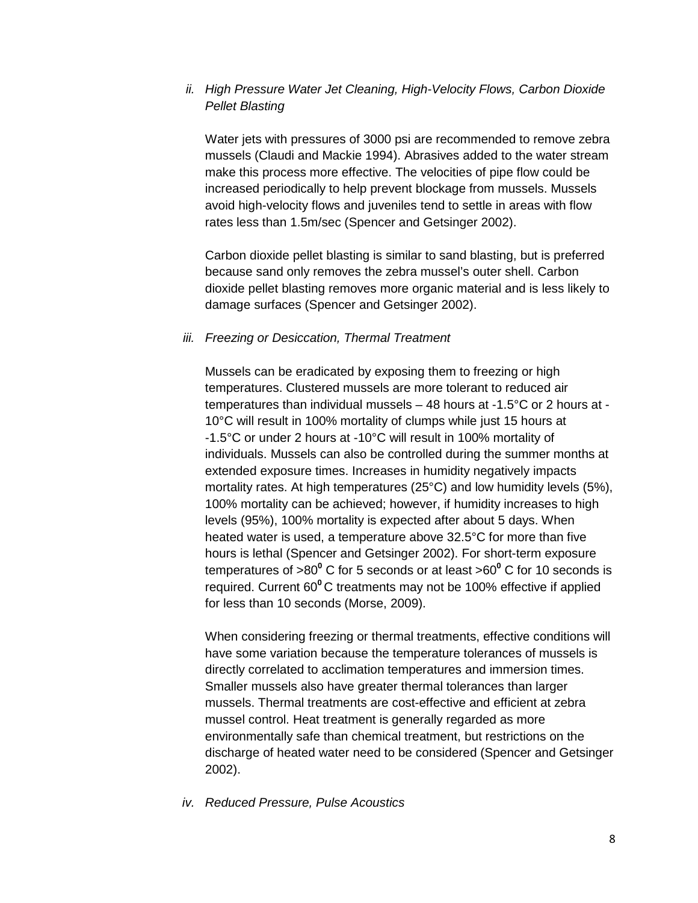## *ii. High Pressure Water Jet Cleaning, High-Velocity Flows, Carbon Dioxide Pellet Blasting*

Water jets with pressures of 3000 psi are recommended to remove zebra mussels (Claudi and Mackie 1994). Abrasives added to the water stream make this process more effective. The velocities of pipe flow could be increased periodically to help prevent blockage from mussels. Mussels avoid high-velocity flows and juveniles tend to settle in areas with flow rates less than 1.5m/sec (Spencer and Getsinger 2002).

Carbon dioxide pellet blasting is similar to sand blasting, but is preferred because sand only removes the zebra mussel's outer shell. Carbon dioxide pellet blasting removes more organic material and is less likely to damage surfaces (Spencer and Getsinger 2002).

#### *iii. Freezing or Desiccation, Thermal Treatment*

Mussels can be eradicated by exposing them to freezing or high temperatures. Clustered mussels are more tolerant to reduced air temperatures than individual mussels – 48 hours at -1.5°C or 2 hours at - 10°C will result in 100% mortality of clumps while just 15 hours at -1.5°C or under 2 hours at -10°C will result in 100% mortality of individuals. Mussels can also be controlled during the summer months at extended exposure times. Increases in humidity negatively impacts mortality rates. At high temperatures (25°C) and low humidity levels (5%), 100% mortality can be achieved; however, if humidity increases to high levels (95%), 100% mortality is expected after about 5 days. When heated water is used, a temperature above 32.5°C for more than five hours is lethal (Spencer and Getsinger 2002). For short-term exposure temperatures of >80**<sup>0</sup>** C for 5 seconds or at least >60**<sup>0</sup>** C for 10 seconds is required. Current 60**<sup>0</sup>**C treatments may not be 100% effective if applied for less than 10 seconds (Morse, 2009).

When considering freezing or thermal treatments, effective conditions will have some variation because the temperature tolerances of mussels is directly correlated to acclimation temperatures and immersion times. Smaller mussels also have greater thermal tolerances than larger mussels. Thermal treatments are cost-effective and efficient at zebra mussel control. Heat treatment is generally regarded as more environmentally safe than chemical treatment, but restrictions on the discharge of heated water need to be considered (Spencer and Getsinger 2002).

#### *iv. Reduced Pressure, Pulse Acoustics*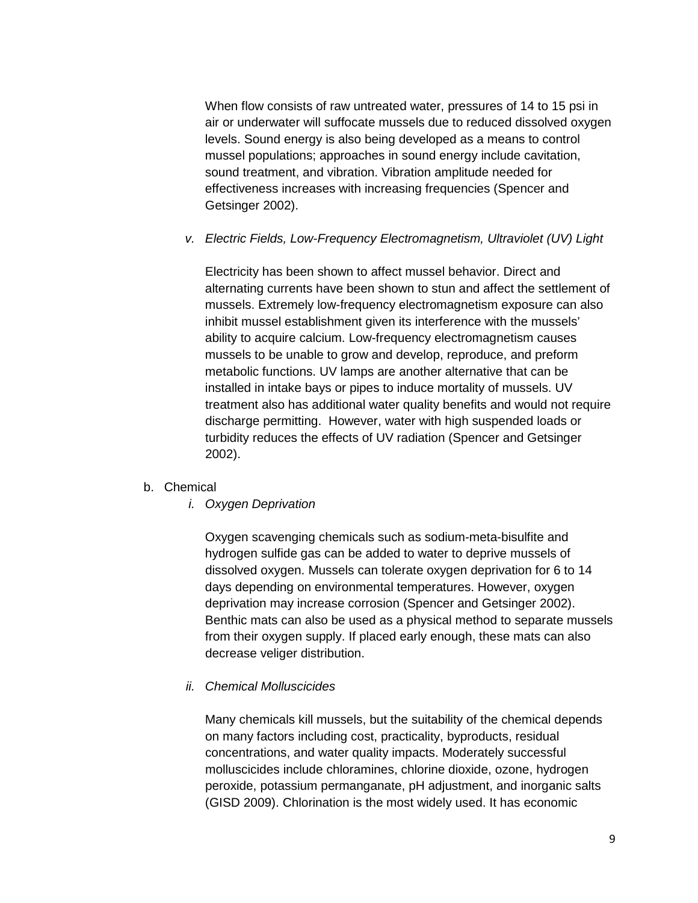When flow consists of raw untreated water, pressures of 14 to 15 psi in air or underwater will suffocate mussels due to reduced dissolved oxygen levels. Sound energy is also being developed as a means to control mussel populations; approaches in sound energy include cavitation, sound treatment, and vibration. Vibration amplitude needed for effectiveness increases with increasing frequencies (Spencer and Getsinger 2002).

## *v. Electric Fields, Low-Frequency Electromagnetism, Ultraviolet (UV) Light*

Electricity has been shown to affect mussel behavior. Direct and alternating currents have been shown to stun and affect the settlement of mussels. Extremely low-frequency electromagnetism exposure can also inhibit mussel establishment given its interference with the mussels' ability to acquire calcium. Low-frequency electromagnetism causes mussels to be unable to grow and develop, reproduce, and preform metabolic functions. UV lamps are another alternative that can be installed in intake bays or pipes to induce mortality of mussels. UV treatment also has additional water quality benefits and would not require discharge permitting. However, water with high suspended loads or turbidity reduces the effects of UV radiation (Spencer and Getsinger 2002).

## b. Chemical

*i. Oxygen Deprivation*

Oxygen scavenging chemicals such as sodium-meta-bisulfite and hydrogen sulfide gas can be added to water to deprive mussels of dissolved oxygen. Mussels can tolerate oxygen deprivation for 6 to 14 days depending on environmental temperatures. However, oxygen deprivation may increase corrosion (Spencer and Getsinger 2002). Benthic mats can also be used as a physical method to separate mussels from their oxygen supply. If placed early enough, these mats can also decrease veliger distribution.

#### *ii. Chemical Molluscicides*

Many chemicals kill mussels, but the suitability of the chemical depends on many factors including cost, practicality, byproducts, residual concentrations, and water quality impacts. Moderately successful molluscicides include chloramines, chlorine dioxide, ozone, hydrogen peroxide, potassium permanganate, pH adjustment, and inorganic salts (GISD 2009). Chlorination is the most widely used. It has economic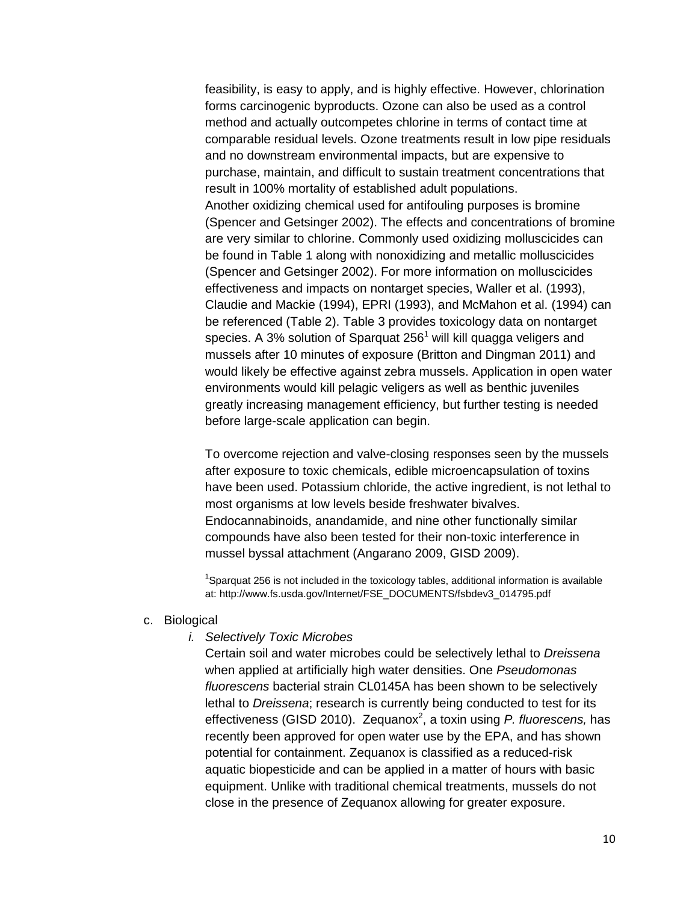feasibility, is easy to apply, and is highly effective. However, chlorination forms carcinogenic byproducts. Ozone can also be used as a control method and actually outcompetes chlorine in terms of contact time at comparable residual levels. Ozone treatments result in low pipe residuals and no downstream environmental impacts, but are expensive to purchase, maintain, and difficult to sustain treatment concentrations that result in 100% mortality of established adult populations. Another oxidizing chemical used for antifouling purposes is bromine (Spencer and Getsinger 2002). The effects and concentrations of bromine are very similar to chlorine. Commonly used oxidizing molluscicides can be found in Table 1 along with nonoxidizing and metallic molluscicides (Spencer and Getsinger 2002). For more information on molluscicides effectiveness and impacts on nontarget species, Waller et al. (1993), Claudie and Mackie (1994), EPRI (1993), and McMahon et al. (1994) can be referenced (Table 2). Table 3 provides toxicology data on nontarget species. A 3% solution of Sparquat  $256<sup>1</sup>$  will kill quagga veligers and mussels after 10 minutes of exposure (Britton and Dingman 2011) and would likely be effective against zebra mussels. Application in open water environments would kill pelagic veligers as well as benthic juveniles greatly increasing management efficiency, but further testing is needed before large-scale application can begin.

To overcome rejection and valve-closing responses seen by the mussels after exposure to toxic chemicals, edible microencapsulation of toxins have been used. Potassium chloride, the active ingredient, is not lethal to most organisms at low levels beside freshwater bivalves. Endocannabinoids, anandamide, and nine other functionally similar compounds have also been tested for their non-toxic interference in mussel byssal attachment (Angarano 2009, GISD 2009).

<sup>1</sup>Sparquat 256 is not included in the toxicology tables, additional information is available at: http://www.fs.usda.gov/Internet/FSE\_DOCUMENTS/fsbdev3\_014795.pdf

#### c. Biological

#### *i. Selectively Toxic Microbes*

Certain soil and water microbes could be selectively lethal to *Dreissena* when applied at artificially high water densities. One *Pseudomonas fluorescens* bacterial strain CL0145A has been shown to be selectively lethal to *Dreissena*; research is currently being conducted to test for its effectiveness (GISD 2010). Zequanox<sup>2</sup>, a toxin using *P. fluorescens,* has recently been approved for open water use by the EPA, and has shown potential for containment. Zequanox is classified as a reduced-risk aquatic biopesticide and can be applied in a matter of hours with basic equipment. Unlike with traditional chemical treatments, mussels do not close in the presence of Zequanox allowing for greater exposure.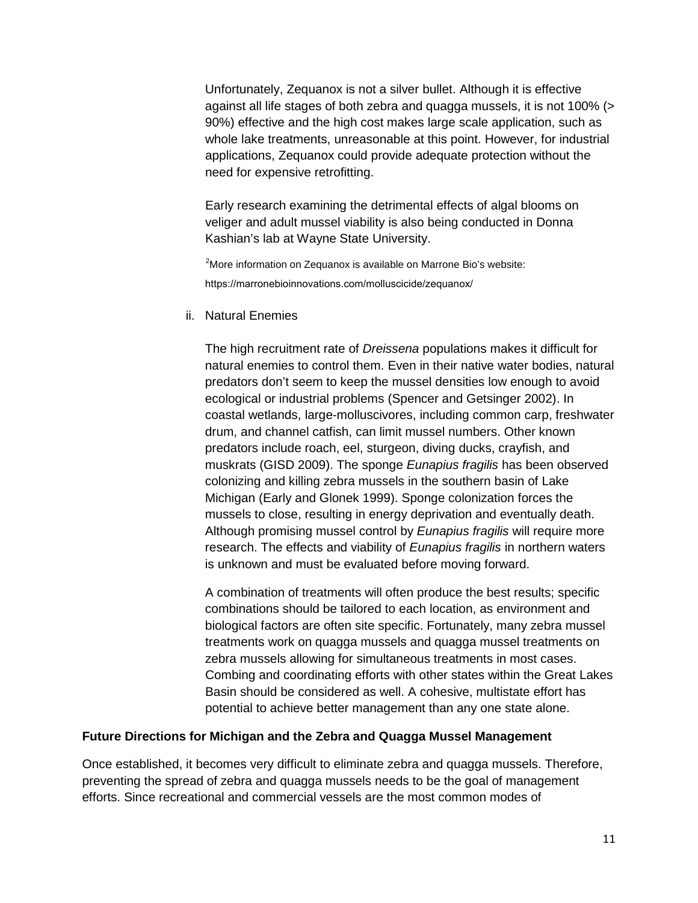Unfortunately, Zequanox is not a silver bullet. Although it is effective against all life stages of both zebra and quagga mussels, it is not 100% (> 90%) effective and the high cost makes large scale application, such as whole lake treatments, unreasonable at this point. However, for industrial applications, Zequanox could provide adequate protection without the need for expensive retrofitting.

Early research examining the detrimental effects of algal blooms on veliger and adult mussel viability is also being conducted in Donna Kashian's lab at Wayne State University.

 $2^2$ More information on Zequanox is available on Marrone Bio's website: https://marronebioinnovations.com/molluscicide/zequanox/

#### ii. Natural Enemies

The high recruitment rate of *Dreissena* populations makes it difficult for natural enemies to control them. Even in their native water bodies, natural predators don't seem to keep the mussel densities low enough to avoid ecological or industrial problems (Spencer and Getsinger 2002). In coastal wetlands, large-molluscivores, including common carp, freshwater drum, and channel catfish, can limit mussel numbers. Other known predators include roach, eel, sturgeon, diving ducks, crayfish, and muskrats (GISD 2009). The sponge *Eunapius fragilis* has been observed colonizing and killing zebra mussels in the southern basin of Lake Michigan (Early and Glonek 1999). Sponge colonization forces the mussels to close, resulting in energy deprivation and eventually death. Although promising mussel control by *Eunapius fragilis* will require more research. The effects and viability of *Eunapius fragilis* in northern waters is unknown and must be evaluated before moving forward.

A combination of treatments will often produce the best results; specific combinations should be tailored to each location, as environment and biological factors are often site specific. Fortunately, many zebra mussel treatments work on quagga mussels and quagga mussel treatments on zebra mussels allowing for simultaneous treatments in most cases. Combing and coordinating efforts with other states within the Great Lakes Basin should be considered as well. A cohesive, multistate effort has potential to achieve better management than any one state alone.

## **Future Directions for Michigan and the Zebra and Quagga Mussel Management**

Once established, it becomes very difficult to eliminate zebra and quagga mussels. Therefore, preventing the spread of zebra and quagga mussels needs to be the goal of management efforts. Since recreational and commercial vessels are the most common modes of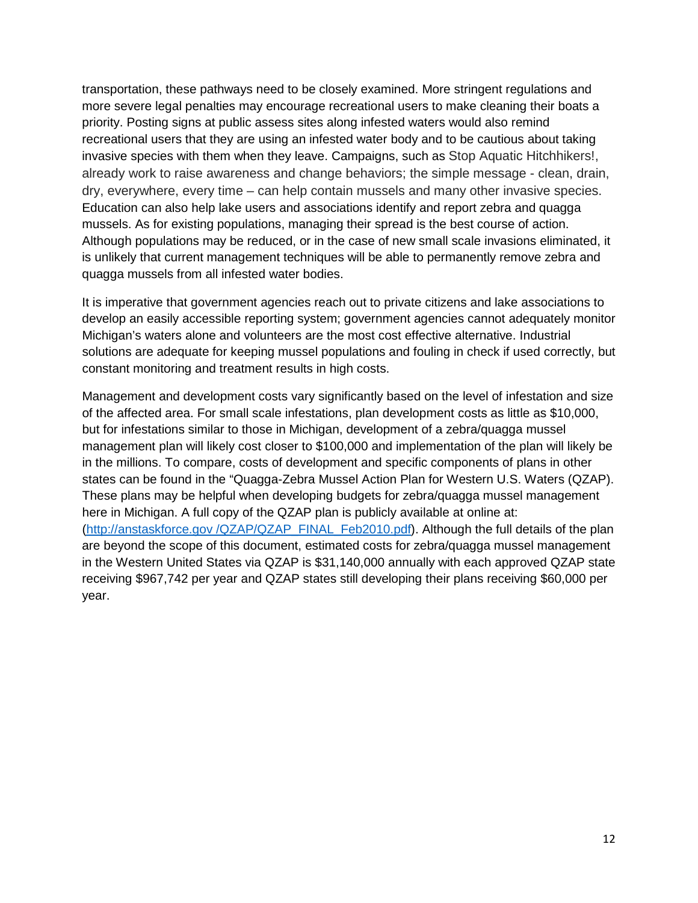transportation, these pathways need to be closely examined. More stringent regulations and more severe legal penalties may encourage recreational users to make cleaning their boats a priority. Posting signs at public assess sites along infested waters would also remind recreational users that they are using an infested water body and to be cautious about taking invasive species with them when they leave. Campaigns, such as Stop Aquatic Hitchhikers!, already work to raise awareness and change behaviors; the simple message - clean, drain, dry, everywhere, every time – can help contain mussels and many other invasive species. Education can also help lake users and associations identify and report zebra and quagga mussels. As for existing populations, managing their spread is the best course of action. Although populations may be reduced, or in the case of new small scale invasions eliminated, it is unlikely that current management techniques will be able to permanently remove zebra and quagga mussels from all infested water bodies.

It is imperative that government agencies reach out to private citizens and lake associations to develop an easily accessible reporting system; government agencies cannot adequately monitor Michigan's waters alone and volunteers are the most cost effective alternative. Industrial solutions are adequate for keeping mussel populations and fouling in check if used correctly, but constant monitoring and treatment results in high costs.

Management and development costs vary significantly based on the level of infestation and size of the affected area. For small scale infestations, plan development costs as little as \$10,000, but for infestations similar to those in Michigan, development of a zebra/quagga mussel management plan will likely cost closer to \$100,000 and implementation of the plan will likely be in the millions. To compare, costs of development and specific components of plans in other states can be found in the "Quagga-Zebra Mussel Action Plan for Western U.S. Waters (QZAP). These plans may be helpful when developing budgets for zebra/quagga mussel management here in Michigan. A full copy of the QZAP plan is publicly available at online at: [\(http://anstaskforce.gov /QZAP/QZAP\\_FINAL\\_Feb2010.pdf\)](http://anstaskforce.gov/QZAP/QZAP_FINAL_Feb2010.pdf). Although the full details of the plan are beyond the scope of this document, estimated costs for zebra/quagga mussel management in the Western United States via QZAP is \$31,140,000 annually with each approved QZAP state receiving \$967,742 per year and QZAP states still developing their plans receiving \$60,000 per year.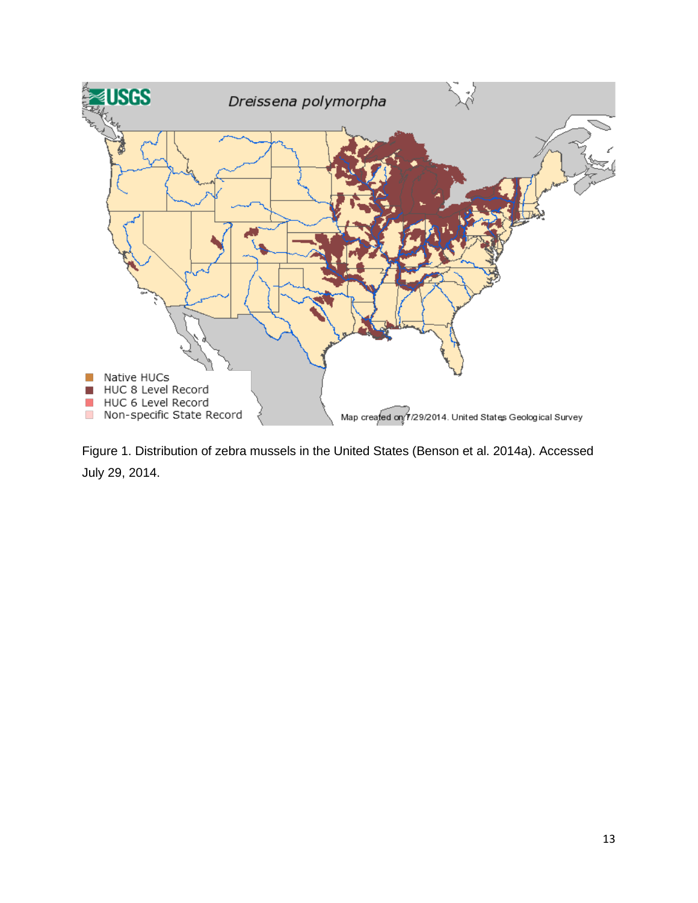

Figure 1. Distribution of zebra mussels in the United States (Benson et al. 2014a). Accessed July 29, 2014.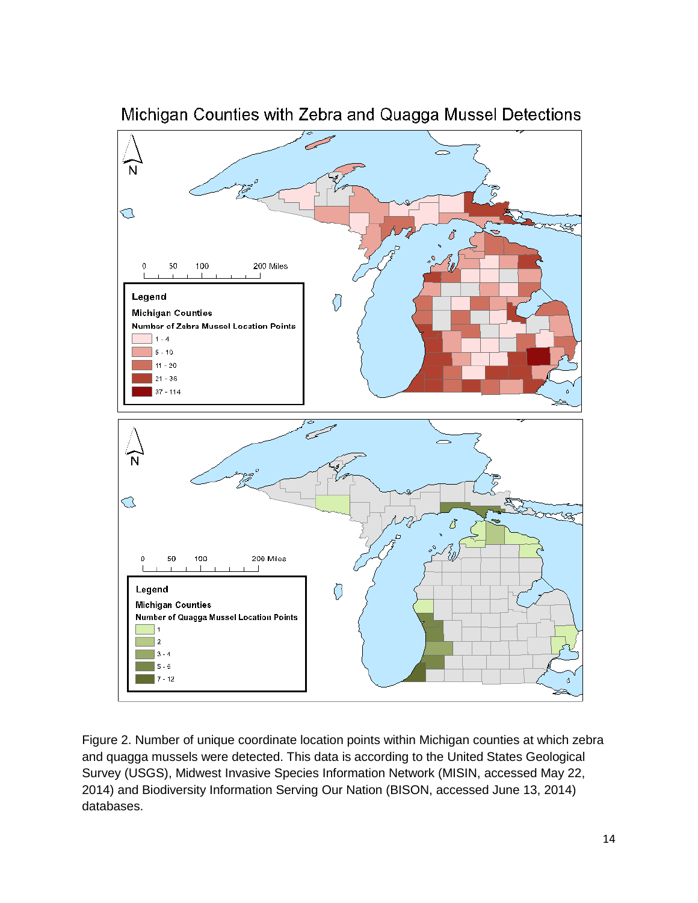

Michigan Counties with Zebra and Quagga Mussel Detections

Figure 2. Number of unique coordinate location points within Michigan counties at which zebra and quagga mussels were detected. This data is according to the United States Geological Survey (USGS), Midwest Invasive Species Information Network (MISIN, accessed May 22, 2014) and Biodiversity Information Serving Our Nation (BISON, accessed June 13, 2014) databases.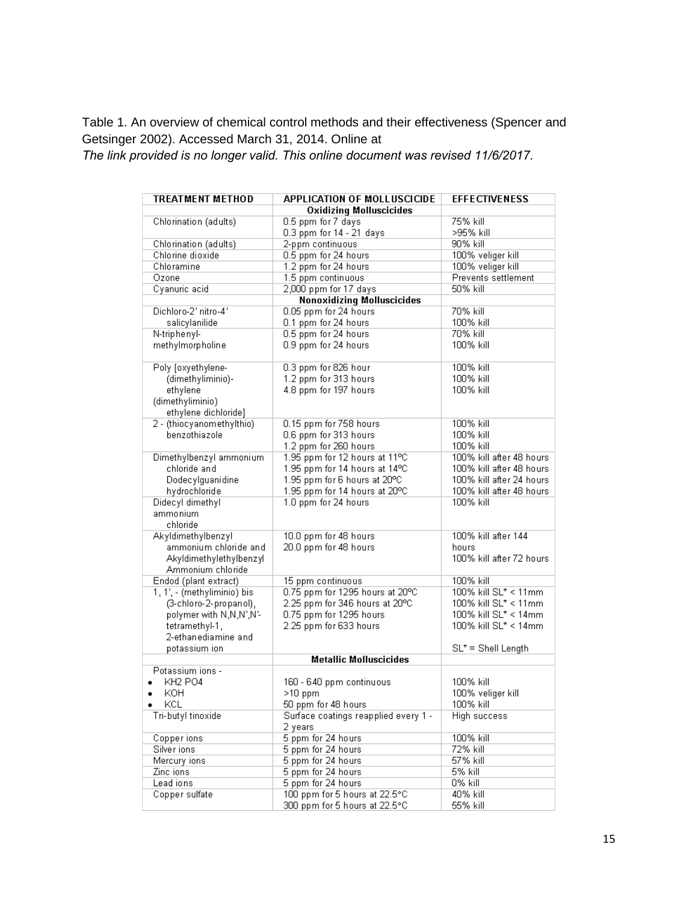Table 1. An overview of chemical control methods and their effectiveness (Spencer and Getsinger 2002). Accessed March 31, 2014. Online at

*The link provided is no longer valid. This online document was revised 11/6/2017.*

| <b>TREATMENT METHOD</b>     | <b>APPLICATION OF MOLLUSCICIDE</b>   | <b>EFFECTIVENESS</b>      |
|-----------------------------|--------------------------------------|---------------------------|
|                             | <b>Oxidizing Molluscicides</b>       |                           |
| Chlorination (adults)       | 0.5 ppm for 7 days                   | 75% kill                  |
|                             | 0.3 ppm for 14 - 21 days             | >95% kill                 |
| Chlorination (adults)       | 2-ppm continuous                     | 90% kill                  |
| Chlorine dioxide            | 0.5 ppm for 24 hours                 | 100% veliger kill         |
| Chloramine                  | 1.2 ppm for 24 hours                 | 100% veliger kill         |
| Ozone                       | 1.5 ppm continuous                   | Prevents settlement       |
| Cyanuric acid               | 2,000 ppm for 17 days                | 50% kill                  |
|                             | <b>Nonoxidizing Molluscicides</b>    |                           |
| Dichloro-2' nitro-4'        | 0.05 ppm for 24 hours                | 70% kill                  |
| salicylanilide              | 0.1 ppm for 24 hours                 | 100% kill                 |
| N-triphenyl-                | 0.5 ppm for 24 hours                 | 70% kill                  |
| methylmorpholine            | 0.9 ppm for 24 hours                 | 100% kill                 |
|                             |                                      |                           |
| Poly [oxyethylene-          | 0.3 ppm for 826 hour                 | 100% kill                 |
| (dimethyliminio)-           | 1.2 ppm for 313 hours                | 100% kill                 |
| ethylene                    | 4.8 ppm for 197 hours                | 100% kill                 |
| (dimethyliminio)            |                                      |                           |
| ethylene dichloride]        |                                      |                           |
| 2 - (thiocyanomethylthio)   | 0.15 ppm for 758 hours               | 100% kill                 |
| benzothiazole               | 0.6 ppm for 313 hours                | 100% kill                 |
|                             | 1.2 ppm for 260 hours                | 100% kill                 |
| Dimethylbenzyl ammonium     | 1.95 ppm for 12 hours at 11°C        | 100% kill after 48 hours  |
| chloride and                |                                      | 100% kill after 48 hours  |
| Dodecylguanidine            | 1.95 ppm for 14 hours at 14°C        | 100% kill after 24 hours. |
|                             | 1.95 ppm for 6 hours at 20°C         |                           |
| hydrochloride               | 1.95 ppm for 14 hours at 20°C        | 100% kill after 48 hours  |
| Didecyl dimethyl            | 1.0 ppm for 24 hours                 | 100% kill                 |
| ammonium                    |                                      |                           |
| chloride                    |                                      | 100% kill after 144       |
| Akyldimethylbenzyl          | 10.0 ppm for 48 hours                |                           |
| ammonium chloride and       | 20.0 ppm for 48 hours                | hours                     |
| Akyldimethylethylbenzyl     |                                      | 100% kill after 72 hours  |
| Ammonium chloride           |                                      |                           |
| Endod (plant extract)       | 15 ppm continuous                    | 100% kill                 |
| 1, 1', - (methyliminio) bis | 0.75 ppm for 1295 hours at 20°C      | 100% kill SL* < 11mm      |
| (3-chloro-2-propanol),      | 2.25 ppm for 346 hours at 20°C       | 100% kill SL* < 11mm      |
| polymer with N,N,N',N'-     | 0.75 ppm for 1295 hours              | 100% kill SL* < 14mm      |
| tetramethyl-1,              | 2.25 ppm for 633 hours               | 100% kill SL* < 14mm      |
| 2-ethanediamine and         |                                      |                           |
| potassium ion               |                                      | $SL^*$ = Shell Length     |
|                             | <b>Metallic Molluscicides</b>        |                           |
| Potassium ions -            |                                      |                           |
| <b>KH2 PO4</b>              | 160 - 640 ppm continuous             | 100% kill                 |
| KOH                         | $>10$ ppm                            | 100% veliger kill         |
| KCL.                        | 50 ppm for 48 hours                  | 100% kill                 |
| Tri-butyl tinoxide          | Surface coatings reapplied every 1 - | High success              |
|                             | 2 years                              |                           |
| Copper ions                 | 5 ppm for 24 hours                   | 100% kill                 |
| Silver ions                 | 5 ppm for 24 hours                   | 72% kill                  |
| Mercury ions                | 5 ppm for 24 hours                   | 57% kill                  |
| Zinc ions                   | 5 ppm for 24 hours                   | 5% kill                   |
| Lead ions                   | 5 ppm for 24 hours                   | 0% kill                   |
| Copper sulfate              | 100 ppm for 5 hours at 22.5°C        | 40% kill                  |
|                             | 300 ppm for 5 hours at 22.5°C.       | 55% kill                  |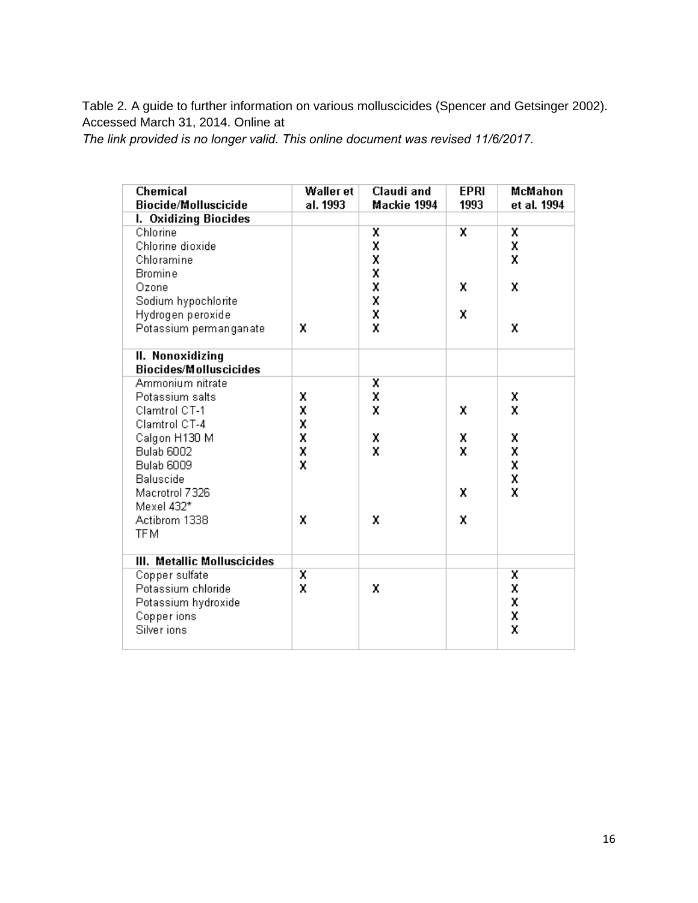Table 2. A guide to further information on various molluscicides (Spencer and Getsinger 2002). Accessed March 31, 2014. Online at

*The link provided is no longer valid. This online document was revised 11/6/2017.*

| <b>Chemical</b><br><b>Biocide/Molluscicide</b> | <b>Waller et</b><br>al. 1993 | Claudi and<br>Mackie 1994 | <b>EPRI</b><br>1993 | McMahon<br>et al. 1994 |
|------------------------------------------------|------------------------------|---------------------------|---------------------|------------------------|
| I. Oxidizing Biocides                          |                              |                           |                     |                        |
| Chlorine                                       |                              | X                         | X                   | x                      |
| Chlorine dioxide                               |                              | X                         |                     | X                      |
| Chloramine                                     |                              | X                         |                     | X                      |
| <b>Bromine</b>                                 |                              | X                         |                     |                        |
| Ozone                                          |                              | X                         | X                   | X                      |
| Sodium hypochlorite                            |                              | $\frac{x}{x}$             |                     |                        |
| Hydrogen peroxide                              |                              |                           | X                   |                        |
| Potassium permanganate                         | x                            | X                         |                     | X                      |
| II. Nonoxidizing                               |                              |                           |                     |                        |
| <b>Biocides/Molluscicides</b>                  |                              |                           |                     |                        |
| Ammonium nitrate                               |                              | X                         |                     |                        |
| Potassium salts                                | X                            | X                         |                     | x                      |
| Clamtrol CT-1                                  | X                            | X                         | X                   | x                      |
| Clamtrol CT-4                                  | X                            |                           |                     |                        |
| Calgon H130 M                                  | X                            | X                         | Х                   | X                      |
| <b>Bulab 6002</b>                              | X                            | x                         | X                   | X                      |
| <b>Bulab 6009</b>                              | x                            |                           |                     | X                      |
| Baluscide                                      |                              |                           |                     | X                      |
| Macrotrol 7326                                 |                              |                           | X                   | X                      |
| Mexel 432*                                     |                              |                           |                     |                        |
| Actibrom 1338                                  | X                            | X                         | x                   |                        |
| <b>TFM</b>                                     |                              |                           |                     |                        |
| III. Metallic Molluscicides                    |                              |                           |                     |                        |
| Copper sulfate                                 | X                            |                           |                     | X                      |
| Potassium chloride                             | X                            | X                         |                     | X                      |
| Potassium hydroxide                            |                              |                           |                     | X                      |
| Copper ions                                    |                              |                           |                     | X                      |
| Silver ions                                    |                              |                           |                     | X                      |
|                                                |                              |                           |                     |                        |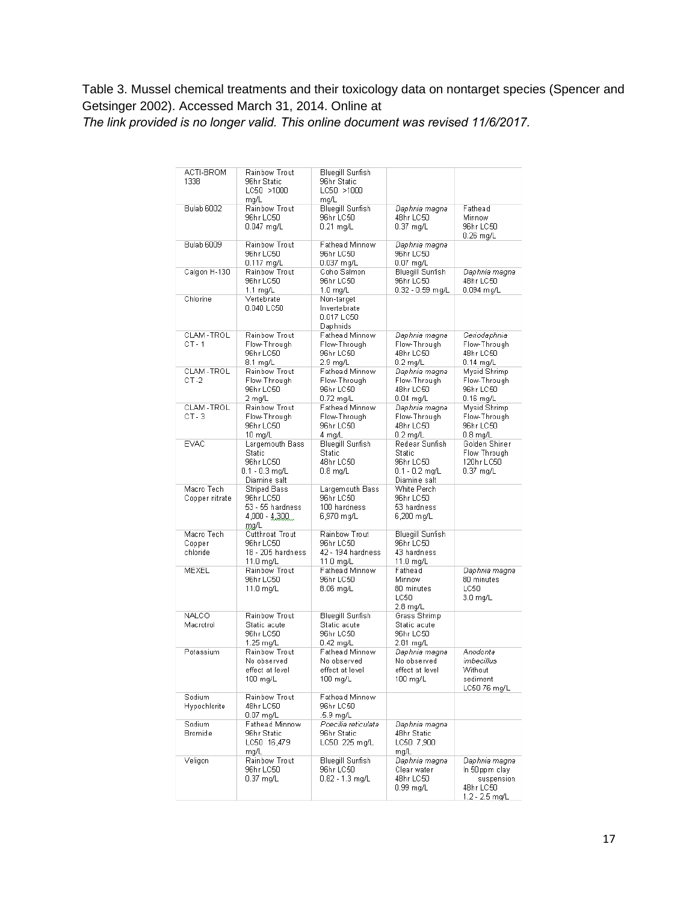# Table 3. Mussel chemical treatments and their toxicology data on nontarget species (Spencer and Getsinger 2002). Accessed March 31, 2014. Online at

*The link provided is no longer valid. This online document was revised 11/6/2017.*

| ACTI-BROM<br>1338                | Rainbow Trout<br>96hr Static<br>LC50 >1000<br>mg/L                              | Bluegill Sunfish<br>96hr Static<br>LC50 >1000<br>mg/L                |                                                                         |                                                                             |
|----------------------------------|---------------------------------------------------------------------------------|----------------------------------------------------------------------|-------------------------------------------------------------------------|-----------------------------------------------------------------------------|
| <b>Bulab 6002</b>                | Rainbow Trout<br>96hr LC50<br>0.047 mg/L                                        | <b>Bluegill Sunfish</b><br>96hr LC50<br>$0.21$ mg/L                  | Daphnia magna<br>48hr LC50<br>$0.37$ mg/L                               | Fathead<br>Minnow<br>96hr LC50<br>$0.26$ mg/L                               |
| <b>Bulab 6009</b>                | Rainbow Trout<br>96hr LC50<br>0.117 mg/L                                        | Fathead Minnow<br>96hr LC50<br>0.037 mg/L                            | Daphnia magna<br>96hr LC50<br>$0.07$ mg/L                               |                                                                             |
| Calgon H-130                     | Rainbow Trout<br>96hr LC50<br>$1.1 \text{ ma/L}$                                | Coho Salmon<br>96hr LC50<br>1.0 mg/L                                 | Bluegill Sunfish<br>96hr LC50<br>0.32 - 0.59 mg/L                       | Daphnia magna<br>48hr LC50<br>0.094 mg/L                                    |
| Chlorine                         | Vertebrate<br>0.040 LC50                                                        | Non-target<br>Invertebrate<br>0.017 LC50<br>Daphnids                 |                                                                         |                                                                             |
| CLAM-TROL<br>CT-1                | Rainbow Trout<br>Flow-Through<br>96hr LC50<br>8.1 mg/L                          | Fathead Minnow<br>Flow-Through<br>96hr LC50<br>2.9 mg/L              | Daphnia magna<br>Flow-Through<br>48hr LC50<br>0.2 mg/L                  | Ceriodaphnia<br>Flow-Through<br>48hr LC50<br>$0.14$ mg/L                    |
| CLAM-TROL<br>$CT - 2$            | Rainbow Trout<br>Flow-Through<br>96hr LC50<br>2 mg/L                            | Fathead Minnow<br>Flow-Through<br>96hr LC50<br>$0.72$ mg/L           | Daphnia magna<br>Flow-Through<br>48hr LC50<br>0.04 mg/L                 | Mysid Shrimp<br>Flow-Through<br>96hr LC50<br>$0.16$ mg/L                    |
| CLAM-TROL<br>$CT - 3$            | Rainbow Trout<br>Flow-Through<br>96hr LC50<br>10 mg/L                           | Fathead Minnow<br>Flow-Through<br>96hr LC50<br>4 ma/L                | Daphnia magna<br>Flow-Through<br>48hr LC50<br>$0.2$ mg/L                | Mysid Shrimp<br>Flow-Through<br>96hr LC50<br>$0.8$ mg/L                     |
| <b>EVAC</b>                      | Largemouth Bass<br>Static<br>96hr LC50<br>$0.1 - 0.3$ mg/L<br>Diamine salt      | Bluegill Sunfish<br><b>Static</b><br>48hr LC50<br>$0.8 \text{ mg/L}$ | Redear Sunfish<br>Static<br>96hr LC50<br>0.1 - 0.2 mg/L<br>Diamine salt | Golden Shiner<br>Flow Through<br>120hr LC50<br>$0.37$ mg/L                  |
| Macro Tech<br>Copper nitrate     | <b>Striped Bass</b><br>96hr LC50<br>53 - 55 hardness<br>$4,000 - 4,300$<br>mg/L | Largemouth Bass<br>96hr LC50<br>100 hardness<br>6,970 mg/L           | White Perch<br>96hr LC50<br>53 hardness<br>6,200 mg/L                   |                                                                             |
| Macro Tech<br>Copper<br>chloride | Cutthroat Trout<br>96hr LC50<br>18 - 205 hardness<br>11.0 mg/L                  | Rainbow Trout<br>96hr LC50<br>42 - 194 hardness<br>11.0 mg/L         | Bluegill Sunfish<br>96hr LC50<br>43 hardness<br>11.0 mg/L               |                                                                             |
| MEXEL                            | Rainbow Trout<br>96hr LC50<br>11.0 mg/L                                         | Fathead Minnow<br>96hr LC50<br>8.06 mg/L                             | Fathead<br>Minnow<br>80 minutes<br>LC50<br>2.8 mg/L                     | Daphnia magna<br>80 minutes<br>LC50<br>3.0 mg/L                             |
| <b>NALCO</b><br>Macrotrol        | Rainbow Trout<br>Static acute<br>96hr LC50<br>1.25 mg/L                         | Bluegill Sunfish<br>Static acute<br>96hr LC50<br>$0.42$ ma/L         | Grass Shrimp<br>Static acute<br>96hr LC50<br>2.81 mg/L                  |                                                                             |
| Potassium                        | Rainbow Trout<br>No observed<br>effect at level<br>100 mg/L                     | Fathead Minnow<br>No observed<br>effect at level<br>100 mg/L         | Daphnia magna<br>No observed<br>effect at level<br>100 mg/L             | Anodonta<br>imbecillus<br>Without<br>sediment<br>LC50 76 mg/L               |
| Sodium<br>Hypochlorite           | Rainbow Trout<br>48hr LC50<br>$0.07$ mg/L                                       | Fathead Minnow<br>96hr LC50<br>.5.9 mg/L                             |                                                                         |                                                                             |
| Sodium<br>Bromide                | Fathead Minnow<br>96hr Static<br>LC50 16,479<br>ma/L                            | Poecilia reticulata<br>96hr Static<br>LC50 225 mg/L                  | Daphnia magna<br>48hr Static<br>LC50 7,900<br>mg/L                      |                                                                             |
| Veligon                          | Rainbow Trout<br>96hr LC50<br>$0.37$ mg/L                                       | Bluegill Sunfish<br>96hr LC50<br>$0.82 - 1.3$ mg/L                   | Daphnia magna<br>Clear water<br>48hr LC50<br>0.99 mg/L                  | Daphnia magna<br>in 50ppm claγ<br>suspension<br>48hr LC50<br>1.2 - 2.5 mg/L |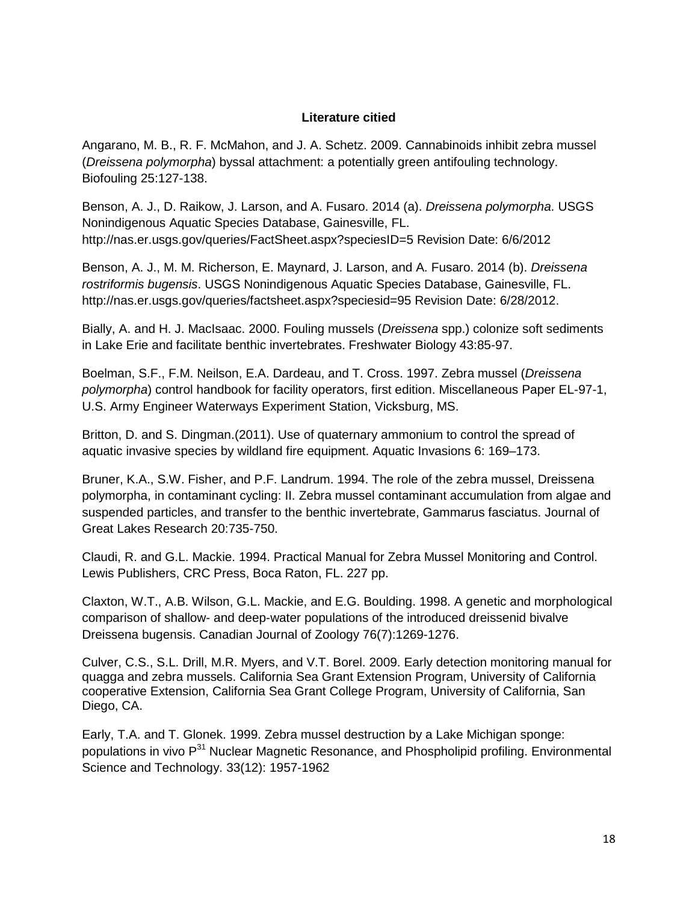#### **Literature citied**

Angarano, M. B., R. F. McMahon, and J. A. Schetz. 2009. Cannabinoids inhibit zebra mussel (*Dreissena polymorpha*) byssal attachment: a potentially green antifouling technology. Biofouling 25:127-138.

Benson, A. J., D. Raikow, J. Larson, and A. Fusaro. 2014 (a). *Dreissena polymorpha*. USGS Nonindigenous Aquatic Species Database, Gainesville, FL. http://nas.er.usgs.gov/queries/FactSheet.aspx?speciesID=5 Revision Date: 6/6/2012

Benson, A. J., M. M. Richerson, E. Maynard, J. Larson, and A. Fusaro. 2014 (b). *Dreissena rostriformis bugensis*. USGS Nonindigenous Aquatic Species Database, Gainesville, FL. http://nas.er.usgs.gov/queries/factsheet.aspx?speciesid=95 Revision Date: 6/28/2012.

Bially, A. and H. J. MacIsaac. 2000. Fouling mussels (*Dreissena* spp.) colonize soft sediments in Lake Erie and facilitate benthic invertebrates. Freshwater Biology 43:85-97.

Boelman, S.F., F.M. Neilson, E.A. Dardeau, and T. Cross. 1997. Zebra mussel (*Dreissena polymorpha*) control handbook for facility operators, first edition. Miscellaneous Paper EL-97-1, U.S. Army Engineer Waterways Experiment Station, Vicksburg, MS.

Britton, D. and S. Dingman.(2011). Use of quaternary ammonium to control the spread of aquatic invasive species by wildland fire equipment. Aquatic Invasions 6: 169–173.

Bruner, K.A., S.W. Fisher, and P.F. Landrum. 1994. The role of the zebra mussel, Dreissena polymorpha, in contaminant cycling: II. Zebra mussel contaminant accumulation from algae and suspended particles, and transfer to the benthic invertebrate, Gammarus fasciatus. Journal of Great Lakes Research 20:735-750.

Claudi, R. and G.L. Mackie. 1994. Practical Manual for Zebra Mussel Monitoring and Control. Lewis Publishers, CRC Press, Boca Raton, FL. 227 pp.

Claxton, W.T., A.B. Wilson, G.L. Mackie, and E.G. Boulding. 1998. A genetic and morphological comparison of shallow- and deep-water populations of the introduced dreissenid bivalve Dreissena bugensis. Canadian Journal of Zoology 76(7):1269-1276.

Culver, C.S., S.L. Drill, M.R. Myers, and V.T. Borel. 2009. Early detection monitoring manual for quagga and zebra mussels. California Sea Grant Extension Program, University of California cooperative Extension, California Sea Grant College Program, University of California, San Diego, CA.

Early, T.A. and T. Glonek. 1999. Zebra mussel destruction by a Lake Michigan sponge: populations in vivo  $P^{31}$  Nuclear Magnetic Resonance, and Phospholipid profiling. Environmental Science and Technology. 33(12): 1957-1962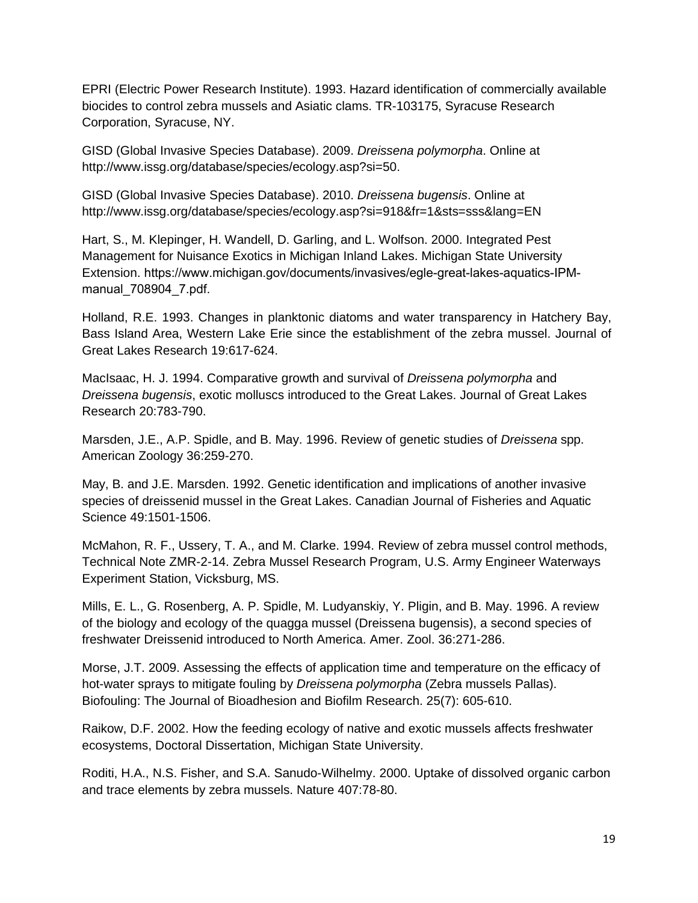EPRI (Electric Power Research Institute). 1993. Hazard identification of commercially available biocides to control zebra mussels and Asiatic clams. TR-103175, Syracuse Research Corporation, Syracuse, NY.

GISD (Global Invasive Species Database). 2009. *Dreissena polymorpha*. Online at http://www.issg.org/database/species/ecology.asp?si=50.

GISD (Global Invasive Species Database). 2010. *Dreissena bugensis*. Online at http://www.issg.org/database/species/ecology.asp?si=918&fr=1&sts=sss&lang=EN

Hart, S., M. Klepinger, H. Wandell, D. Garling, and L. Wolfson. 2000. Integrated Pest Management for Nuisance Exotics in Michigan Inland Lakes. Michigan State University Extension. https://www.michigan.gov/documents/invasives/egle-great-lakes-aquatics-IPMmanual\_708904\_7.pdf.

Holland, R.E. 1993. Changes in planktonic diatoms and water transparency in Hatchery Bay, Bass Island Area, Western Lake Erie since the establishment of the zebra mussel. Journal of Great Lakes Research 19:617-624.

MacIsaac, H. J. 1994. Comparative growth and survival of *Dreissena polymorpha* and *Dreissena bugensis*, exotic molluscs introduced to the Great Lakes. Journal of Great Lakes Research 20:783-790.

Marsden, J.E., A.P. Spidle, and B. May. 1996. Review of genetic studies of *Dreissena* spp. American Zoology 36:259-270.

May, B. and J.E. Marsden. 1992. Genetic identification and implications of another invasive species of dreissenid mussel in the Great Lakes. Canadian Journal of Fisheries and Aquatic Science 49:1501-1506.

McMahon, R. F., Ussery, T. A., and M. Clarke. 1994. Review of zebra mussel control methods, Technical Note ZMR-2-14. Zebra Mussel Research Program, U.S. Army Engineer Waterways Experiment Station, Vicksburg, MS.

Mills, E. L., G. Rosenberg, A. P. Spidle, M. Ludyanskiy, Y. Pligin, and B. May. 1996. A review of the biology and ecology of the quagga mussel (Dreissena bugensis), a second species of freshwater Dreissenid introduced to North America. Amer. Zool. 36:271-286.

Morse, J.T. 2009. Assessing the effects of application time and temperature on the efficacy of hot-water sprays to mitigate fouling by *Dreissena polymorpha* (Zebra mussels Pallas). Biofouling: The Journal of Bioadhesion and Biofilm Research. 25(7): 605-610.

Raikow, D.F. 2002. How the feeding ecology of native and exotic mussels affects freshwater ecosystems, Doctoral Dissertation, Michigan State University.

Roditi, H.A., N.S. Fisher, and S.A. Sanudo-Wilhelmy. 2000. Uptake of dissolved organic carbon and trace elements by zebra mussels. Nature 407:78-80.